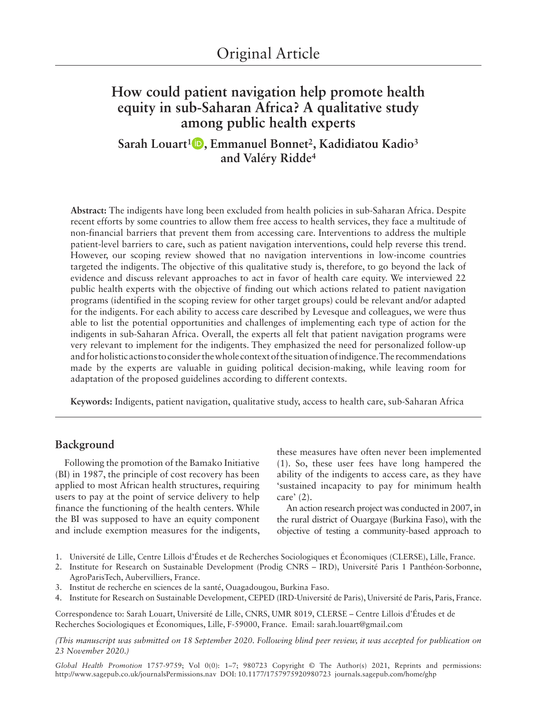# **How could patient navigation help promote health equity in sub-Saharan Africa? A qualitative study among public health experts**

**Sarah Louart1 , Emmanuel Bonnet2, Kadidiatou Kadio3 and Valéry Ridde4**

**Abstract:** The indigents have long been excluded from health policies in sub-Saharan Africa. Despite recent efforts by some countries to allow them free access to health services, they face a multitude of non-financial barriers that prevent them from accessing care. Interventions to address the multiple patient-level barriers to care, such as patient navigation interventions, could help reverse this trend. However, our scoping review showed that no navigation interventions in low-income countries targeted the indigents. The objective of this qualitative study is, therefore, to go beyond the lack of evidence and discuss relevant approaches to act in favor of health care equity. We interviewed 22 public health experts with the objective of finding out which actions related to patient navigation programs (identified in the scoping review for other target groups) could be relevant and/or adapted for the indigents. For each ability to access care described by Levesque and colleagues, we were thus able to list the potential opportunities and challenges of implementing each type of action for the indigents in sub-Saharan Africa. Overall, the experts all felt that patient navigation programs were very relevant to implement for the indigents. They emphasized the need for personalized follow-up and for holistic actions to consider the whole context of the situation of indigence. The recommendations made by the experts are valuable in guiding political decision-making, while leaving room for adaptation of the proposed guidelines according to different contexts.

**Keywords:** Indigents, patient navigation, qualitative study, access to health care, sub-Saharan Africa

### **Background**

Following the promotion of the Bamako Initiative (BI) in 1987, the principle of cost recovery has been applied to most African health structures, requiring users to pay at the point of service delivery to help finance the functioning of the health centers. While the BI was supposed to have an equity component and include exemption measures for the indigents,

these measures have often never been implemented (1). So, these user fees have long hampered the ability of the indigents to access care, as they have 'sustained incapacity to pay for minimum health care' (2).

An action research project was conducted in 2007, in the rural district of Ouargaye (Burkina Faso), with the objective of testing a community-based approach to

- 1. Université de Lille, Centre Lillois d'Études et de Recherches Sociologiques et Économiques (CLERSE), Lille, France.
- 2. Institute for Research on Sustainable Development (Prodig CNRS IRD), Université Paris 1 Panthéon-Sorbonne, AgroParisTech, Aubervilliers, France.
- 3. Institut de recherche en sciences de la santé, Ouagadougou, Burkina Faso.
- 4. Institute for Research on Sustainable Development, CEPED (IRD-Université de Paris), Université de Paris, Paris, France.

Correspondence to: Sarah Louart, Université de Lille, CNRS, UMR 8019, CLERSE – Centre Lillois d'Études et de Recherches Sociologiques et Économiques, Lille, F-59000, France. Email: [sarah.louart@gmail.com](mailto:sarah.louart@gmail.com)

*(This manuscript was submitted on 18 September 2020. Following blind peer review, it was accepted for publication on 23 November 2020.)*

[http://www.sagepub.co.uk/journalsPermissions.nav](https://uk.sagepub.com/en-gb/journals-permissions) DOI: 10.1177/1757975920980723 [journals.sagepub.com/home/ghp](https://journals.sagepub.com/home/ghp) *Global Health Promotion* 1757-9759; Vol 0(0): 1–7; 980723 Copyright © The Author(s) 2021, Reprints and permissions: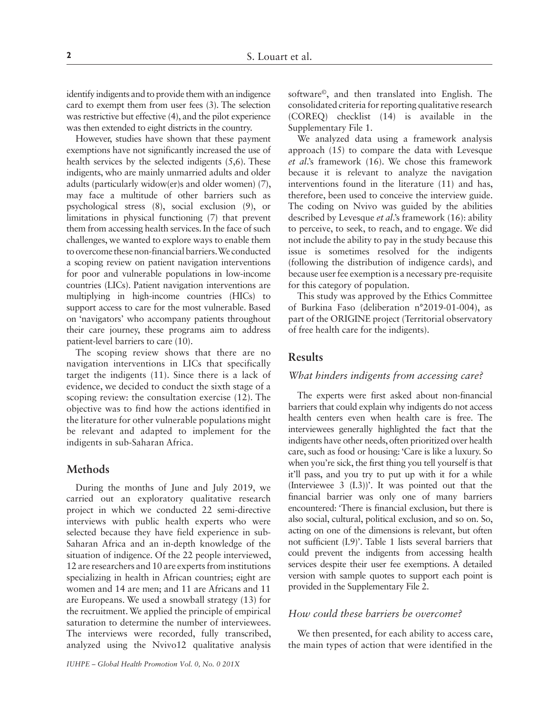identify indigents and to provide them with an indigence card to exempt them from user fees (3). The selection was restrictive but effective (4), and the pilot experience was then extended to eight districts in the country.

However, studies have shown that these payment exemptions have not significantly increased the use of health services by the selected indigents (5,6). These indigents, who are mainly unmarried adults and older adults (particularly widow(er)s and older women) (7), may face a multitude of other barriers such as psychological stress (8), social exclusion (9), or limitations in physical functioning (7) that prevent them from accessing health services. In the face of such challenges, we wanted to explore ways to enable them to overcome these non-financial barriers. We conducted a scoping review on patient navigation interventions for poor and vulnerable populations in low-income countries (LICs). Patient navigation interventions are multiplying in high-income countries (HICs) to support access to care for the most vulnerable. Based on 'navigators' who accompany patients throughout their care journey, these programs aim to address patient-level barriers to care (10).

The scoping review shows that there are no navigation interventions in LICs that specifically target the indigents (11). Since there is a lack of evidence, we decided to conduct the sixth stage of a scoping review: the consultation exercise (12). The objective was to find how the actions identified in the literature for other vulnerable populations might be relevant and adapted to implement for the indigents in sub-Saharan Africa.

# **Methods**

During the months of June and July 2019, we carried out an exploratory qualitative research project in which we conducted 22 semi-directive interviews with public health experts who were selected because they have field experience in sub-Saharan Africa and an in-depth knowledge of the situation of indigence. Of the 22 people interviewed, 12 are researchers and 10 are experts from institutions specializing in health in African countries; eight are women and 14 are men; and 11 are Africans and 11 are Europeans. We used a snowball strategy (13) for the recruitment. We applied the principle of empirical saturation to determine the number of interviewees. The interviews were recorded, fully transcribed, analyzed using the Nvivo12 qualitative analysis

software©, and then translated into English. The consolidated criteria for reporting qualitative research (COREQ) checklist (14) is available in the Supplementary File 1.

We analyzed data using a framework analysis approach (15) to compare the data with Levesque *et al*.'s framework (16). We chose this framework because it is relevant to analyze the navigation interventions found in the literature (11) and has, therefore, been used to conceive the interview guide. The coding on Nvivo was guided by the abilities described by Levesque *et al*.'s framework (16): ability to perceive, to seek, to reach, and to engage. We did not include the ability to pay in the study because this issue is sometimes resolved for the indigents (following the distribution of indigence cards), and because user fee exemption is a necessary pre-requisite for this category of population.

This study was approved by the Ethics Committee of Burkina Faso (deliberation n°2019-01-004), as part of the ORIGINE project (Territorial observatory of free health care for the indigents).

### **Results**

#### *What hinders indigents from accessing care?*

The experts were first asked about non-financial barriers that could explain why indigents do not access health centers even when health care is free. The interviewees generally highlighted the fact that the indigents have other needs, often prioritized over health care, such as food or housing: 'Care is like a luxury. So when you're sick, the first thing you tell yourself is that it'll pass, and you try to put up with it for a while (Interviewee 3 (I.3))'. It was pointed out that the financial barrier was only one of many barriers encountered: 'There is financial exclusion, but there is also social, cultural, political exclusion, and so on. So, acting on one of the dimensions is relevant, but often not sufficient (I.9)'. Table 1 lists several barriers that could prevent the indigents from accessing health services despite their user fee exemptions. A detailed version with sample quotes to support each point is provided in the Supplementary File 2.

# *How could these barriers be overcome?*

We then presented, for each ability to access care, the main types of action that were identified in the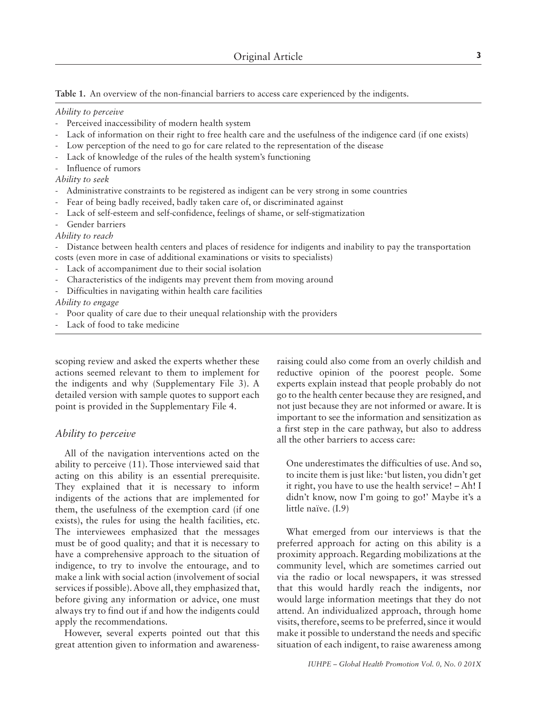**Table 1.** An overview of the non-financial barriers to access care experienced by the indigents.

#### *Ability to perceive*

- Perceived inaccessibility of modern health system
- Lack of information on their right to free health care and the usefulness of the indigence card (if one exists)
- Low perception of the need to go for care related to the representation of the disease
- Lack of knowledge of the rules of the health system's functioning
- Influence of rumors

*Ability to seek*

- Administrative constraints to be registered as indigent can be very strong in some countries
- Fear of being badly received, badly taken care of, or discriminated against
- Lack of self-esteem and self-confidence, feelings of shame, or self-stigmatization
- Gender barriers
- *Ability to reach*

- Distance between health centers and places of residence for indigents and inability to pay the transportation costs (even more in case of additional examinations or visits to specialists)

- Lack of accompaniment due to their social isolation
- Characteristics of the indigents may prevent them from moving around
- Difficulties in navigating within health care facilities

*Ability to engage*

- Poor quality of care due to their unequal relationship with the providers
- Lack of food to take medicine

scoping review and asked the experts whether these actions seemed relevant to them to implement for the indigents and why (Supplementary File 3). A detailed version with sample quotes to support each point is provided in the Supplementary File 4.

#### *Ability to perceive*

All of the navigation interventions acted on the ability to perceive (11). Those interviewed said that acting on this ability is an essential prerequisite. They explained that it is necessary to inform indigents of the actions that are implemented for them, the usefulness of the exemption card (if one exists), the rules for using the health facilities, etc. The interviewees emphasized that the messages must be of good quality; and that it is necessary to have a comprehensive approach to the situation of indigence, to try to involve the entourage, and to make a link with social action (involvement of social services if possible). Above all, they emphasized that, before giving any information or advice, one must always try to find out if and how the indigents could apply the recommendations.

However, several experts pointed out that this great attention given to information and awarenessraising could also come from an overly childish and reductive opinion of the poorest people. Some experts explain instead that people probably do not go to the health center because they are resigned, and not just because they are not informed or aware. It is important to see the information and sensitization as a first step in the care pathway, but also to address all the other barriers to access care:

One underestimates the difficulties of use. And so, to incite them is just like: 'but listen, you didn't get it right, you have to use the health service! – Ah! I didn't know, now I'm going to go!' Maybe it's a little naïve. (I.9)

What emerged from our interviews is that the preferred approach for acting on this ability is a proximity approach. Regarding mobilizations at the community level, which are sometimes carried out via the radio or local newspapers, it was stressed that this would hardly reach the indigents, nor would large information meetings that they do not attend. An individualized approach, through home visits, therefore, seems to be preferred, since it would make it possible to understand the needs and specific situation of each indigent, to raise awareness among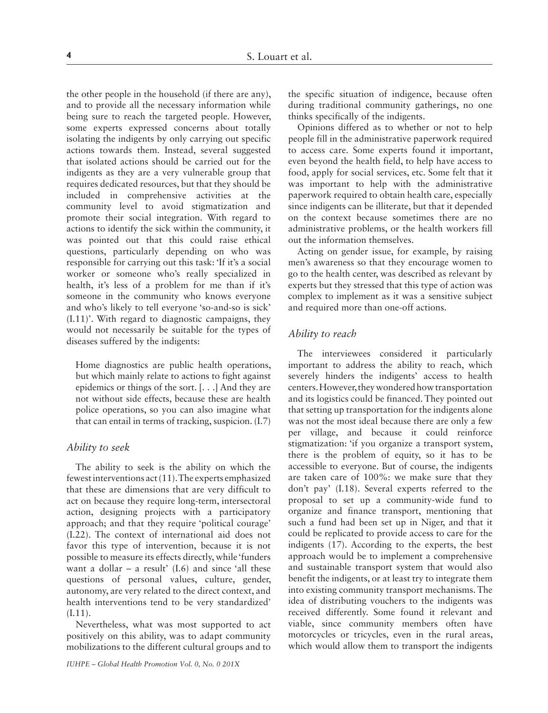the other people in the household (if there are any), and to provide all the necessary information while being sure to reach the targeted people. However, some experts expressed concerns about totally isolating the indigents by only carrying out specific actions towards them. Instead, several suggested that isolated actions should be carried out for the indigents as they are a very vulnerable group that requires dedicated resources, but that they should be included in comprehensive activities at the community level to avoid stigmatization and promote their social integration. With regard to actions to identify the sick within the community, it was pointed out that this could raise ethical questions, particularly depending on who was responsible for carrying out this task: 'If it's a social worker or someone who's really specialized in health, it's less of a problem for me than if it's someone in the community who knows everyone and who's likely to tell everyone 'so-and-so is sick' (I.11)'. With regard to diagnostic campaigns, they would not necessarily be suitable for the types of diseases suffered by the indigents:

Home diagnostics are public health operations, but which mainly relate to actions to fight against epidemics or things of the sort. [. . .] And they are not without side effects, because these are health police operations, so you can also imagine what that can entail in terms of tracking, suspicion. (I.7)

### *Ability to seek*

The ability to seek is the ability on which the fewest interventions act (11). The experts emphasized that these are dimensions that are very difficult to act on because they require long-term, intersectoral action, designing projects with a participatory approach; and that they require 'political courage' (I.22). The context of international aid does not favor this type of intervention, because it is not possible to measure its effects directly, while 'funders want a dollar – a result'  $(I.6)$  and since 'all these questions of personal values, culture, gender, autonomy, are very related to the direct context, and health interventions tend to be very standardized' (I.11).

Nevertheless, what was most supported to act positively on this ability, was to adapt community mobilizations to the different cultural groups and to the specific situation of indigence, because often during traditional community gatherings, no one thinks specifically of the indigents.

Opinions differed as to whether or not to help people fill in the administrative paperwork required to access care. Some experts found it important, even beyond the health field, to help have access to food, apply for social services, etc. Some felt that it was important to help with the administrative paperwork required to obtain health care, especially since indigents can be illiterate, but that it depended on the context because sometimes there are no administrative problems, or the health workers fill out the information themselves.

Acting on gender issue, for example, by raising men's awareness so that they encourage women to go to the health center, was described as relevant by experts but they stressed that this type of action was complex to implement as it was a sensitive subject and required more than one-off actions.

# *Ability to reach*

The interviewees considered it particularly important to address the ability to reach, which severely hinders the indigents' access to health centers. However, they wondered how transportation and its logistics could be financed. They pointed out that setting up transportation for the indigents alone was not the most ideal because there are only a few per village, and because it could reinforce stigmatization: 'if you organize a transport system, there is the problem of equity, so it has to be accessible to everyone. But of course, the indigents are taken care of 100%: we make sure that they don't pay' (I.18). Several experts referred to the proposal to set up a community-wide fund to organize and finance transport, mentioning that such a fund had been set up in Niger, and that it could be replicated to provide access to care for the indigents (17). According to the experts, the best approach would be to implement a comprehensive and sustainable transport system that would also benefit the indigents, or at least try to integrate them into existing community transport mechanisms. The idea of distributing vouchers to the indigents was received differently. Some found it relevant and viable, since community members often have motorcycles or tricycles, even in the rural areas, which would allow them to transport the indigents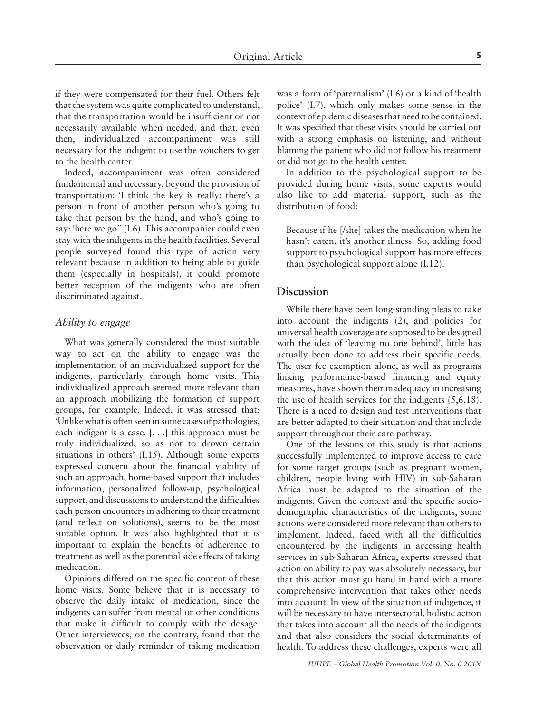if they were compensated for their fuel. Others felt that the system was quite complicated to understand, that the transportation would be insufficient or not necessarily available when needed, and that, even then, individualized accompaniment was still necessary for the indigent to use the vouchers to get to the health center.

Indeed, accompaniment was often considered fundamental and necessary, beyond the provision of transportation: 'I think the key is really: there's a person in front of another person who's going to take that person by the hand, and who's going to say: 'here we go" (I.6). This accompanier could even stay with the indigents in the health facilities. Several people surveyed found this type of action very relevant because in addition to being able to guide them (especially in hospitals), it could promote better reception of the indigents who are often discriminated against.

#### *Ability to engage*

What was generally considered the most suitable way to act on the ability to engage was the implementation of an individualized support for the indigents, particularly through home visits. This individualized approach seemed more relevant than an approach mobilizing the formation of support groups, for example. Indeed, it was stressed that: 'Unlike what is often seen in some cases of pathologies, each indigent is a case. [. . .] this approach must be truly individualized, so as not to drown certain situations in others' (I.15). Although some experts expressed concern about the financial viability of such an approach, home-based support that includes information, personalized follow-up, psychological support, and discussions to understand the difficulties each person encounters in adhering to their treatment (and reflect on solutions), seems to be the most suitable option. It was also highlighted that it is important to explain the benefits of adherence to treatment as well as the potential side effects of taking medication.

Opinions differed on the specific content of these home visits. Some believe that it is necessary to observe the daily intake of medication, since the indigents can suffer from mental or other conditions that make it difficult to comply with the dosage. Other interviewees, on the contrary, found that the observation or daily reminder of taking medication

was a form of 'paternalism' (I.6) or a kind of 'health police' (I.7), which only makes some sense in the context of epidemic diseases that need to be contained. It was specified that these visits should be carried out with a strong emphasis on listening, and without blaming the patient who did not follow his treatment or did not go to the health center.

In addition to the psychological support to be provided during home visits, some experts would also like to add material support, such as the distribution of food:

Because if he [/she] takes the medication when he hasn't eaten, it's another illness. So, adding food support to psychological support has more effects than psychological support alone (I.12).

## **Discussion**

While there have been long-standing pleas to take into account the indigents (2), and policies for universal health coverage are supposed to be designed with the idea of 'leaving no one behind', little has actually been done to address their specific needs. The user fee exemption alone, as well as programs linking performance-based financing and equity measures, have shown their inadequacy in increasing the use of health services for the indigents (5,6,18). There is a need to design and test interventions that are better adapted to their situation and that include support throughout their care pathway.

One of the lessons of this study is that actions successfully implemented to improve access to care for some target groups (such as pregnant women, children, people living with HIV) in sub-Saharan Africa must be adapted to the situation of the indigents. Given the context and the specific sociodemographic characteristics of the indigents, some actions were considered more relevant than others to implement. Indeed, faced with all the difficulties encountered by the indigents in accessing health services in sub-Saharan Africa, experts stressed that action on ability to pay was absolutely necessary, but that this action must go hand in hand with a more comprehensive intervention that takes other needs into account. In view of the situation of indigence, it will be necessary to have intersectoral, holistic action that takes into account all the needs of the indigents and that also considers the social determinants of health. To address these challenges, experts were all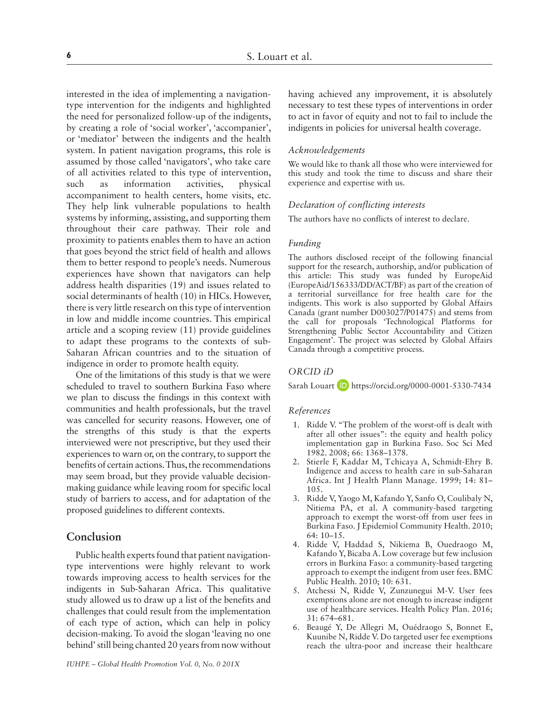interested in the idea of implementing a navigationtype intervention for the indigents and highlighted the need for personalized follow-up of the indigents, by creating a role of 'social worker', 'accompanier', or 'mediator' between the indigents and the health system. In patient navigation programs, this role is assumed by those called 'navigators', who take care of all activities related to this type of intervention, such as information activities, physical accompaniment to health centers, home visits, etc. They help link vulnerable populations to health systems by informing, assisting, and supporting them throughout their care pathway. Their role and proximity to patients enables them to have an action that goes beyond the strict field of health and allows them to better respond to people's needs. Numerous experiences have shown that navigators can help address health disparities (19) and issues related to social determinants of health (10) in HICs. However, there is very little research on this type of intervention in low and middle income countries. This empirical article and a scoping review (11) provide guidelines to adapt these programs to the contexts of sub-Saharan African countries and to the situation of indigence in order to promote health equity.

One of the limitations of this study is that we were scheduled to travel to southern Burkina Faso where we plan to discuss the findings in this context with communities and health professionals, but the travel was cancelled for security reasons. However, one of the strengths of this study is that the experts interviewed were not prescriptive, but they used their experiences to warn or, on the contrary, to support the benefits of certain actions. Thus, the recommendations may seem broad, but they provide valuable decisionmaking guidance while leaving room for specific local study of barriers to access, and for adaptation of the proposed guidelines to different contexts.

# **Conclusion**

Public health experts found that patient navigationtype interventions were highly relevant to work towards improving access to health services for the indigents in Sub-Saharan Africa. This qualitative study allowed us to draw up a list of the benefits and challenges that could result from the implementation of each type of action, which can help in policy decision-making. To avoid the slogan 'leaving no one behind' still being chanted 20 years from now without having achieved any improvement, it is absolutely necessary to test these types of interventions in order to act in favor of equity and not to fail to include the indigents in policies for universal health coverage.

#### *Acknowledgements*

We would like to thank all those who were interviewed for this study and took the time to discuss and share their experience and expertise with us.

#### *Declaration of conflicting interests*

The authors have no conflicts of interest to declare.

#### *Funding*

The authors disclosed receipt of the following financial support for the research, authorship, and/or publication of this article: This study was funded by EuropeAid (EuropeAid/156333/DD/ACT/BF) as part of the creation of a territorial surveillance for free health care for the indigents. This work is also supported by Global Affairs Canada (grant number D003027/P01475) and stems from the call for proposals 'Technological Platforms for Strengthening Public Sector Accountability and Citizen Engagement'. The project was selected by Global Affairs Canada through a competitive process.

### *ORCID iD*

Sarah Louart **iD** <https://orcid.org/0000-0001-5330-7434>

#### *References*

- 1. Ridde V. "The problem of the worst-off is dealt with after all other issues": the equity and health policy implementation gap in Burkina Faso. Soc Sci Med 1982. 2008; 66: 1368–1378.
- 2. Stierle F, Kaddar M, Tchicaya A, Schmidt-Ehry B. Indigence and access to health care in sub-Saharan Africa. Int J Health Plann Manage. 1999; 14: 81– 105.
- 3. Ridde V, Yaogo M, Kafando Y, Sanfo O, Coulibaly N, Nitiema PA, et al. A community-based targeting approach to exempt the worst-off from user fees in Burkina Faso. J Epidemiol Community Health. 2010; 64: 10–15.
- 4. Ridde V, Haddad S, Nikiema B, Ouedraogo M, Kafando Y, Bicaba A. Low coverage but few inclusion errors in Burkina Faso: a community-based targeting approach to exempt the indigent from user fees. BMC Public Health. 2010; 10: 631.
- 5. Atchessi N, Ridde V, Zunzunegui M-V. User fees exemptions alone are not enough to increase indigent use of healthcare services. Health Policy Plan. 2016; 31: 674–681.
- 6. Beaugé Y, De Allegri M, Ouédraogo S, Bonnet E, Kuunibe N, Ridde V. Do targeted user fee exemptions reach the ultra-poor and increase their healthcare